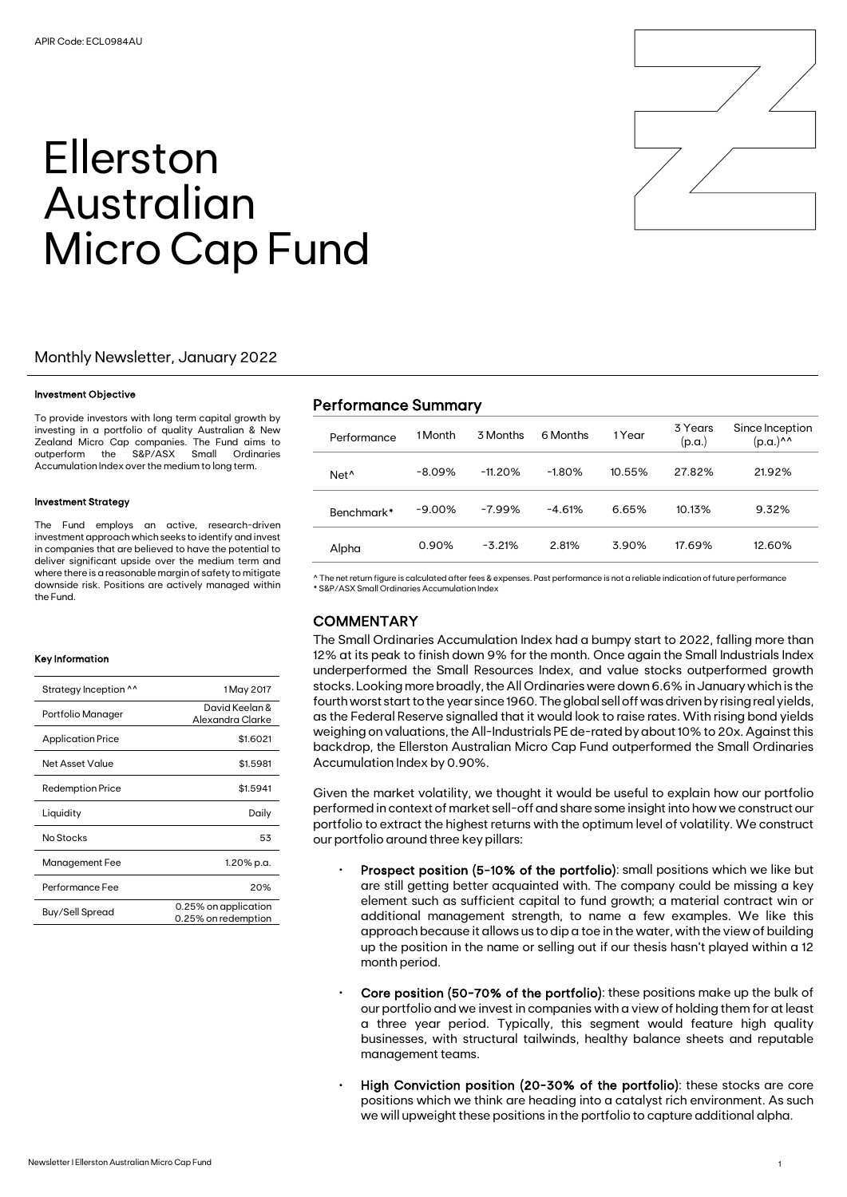# Ellerston Australian Micro Cap Fund

#### Monthly Newsletter, January 2022

#### Investment Objective

To provide investors with long term capital growth by investing in a portfolio of quality Australian & New Zealand Micro Cap companies. The Fund aims to outperform the S&P/ASX Small Ordinaries Accumulation Index over the medium to long term.

#### Investment Strategy

The Fund employs an active, research-driven investment approach which seeks to identify and invest in companies that are believed to have the potential to deliver significant upside over the medium term and where there is a reasonable margin of safety to mitigate downside risk. Positions are actively managed within the Fund.

#### Key Information

| Strategy Inception ^^    | 1 May 2017                                  |
|--------------------------|---------------------------------------------|
| Portfolio Manager        | David Keelan &<br>Alexandra Clarke          |
| <b>Application Price</b> | \$1.6021                                    |
| Net Asset Value          | \$1.5981                                    |
| <b>Redemption Price</b>  | \$1.5941                                    |
| Liquidity                | Daily                                       |
| No Stocks                | 53                                          |
| Management Fee           | 1.20% p.a.                                  |
| Performance Fee          | 20%                                         |
| Buy/Sell Spread          | 0.25% on application<br>0.25% on redemption |

### Performance Summary

| Performance      | 1 Month   | 3 Months  | 6 Months | 1 Year | 3 Years<br>(p.a.) | Since Inception<br>$(p.a.)^{\wedge\wedge}$ |
|------------------|-----------|-----------|----------|--------|-------------------|--------------------------------------------|
| Net <sup>^</sup> | $-8.09%$  | $-11.20%$ | $-1.80%$ | 10.55% | 27.82%            | 21.92%                                     |
| Benchmark*       | $-9.00\%$ | $-7.99%$  | $-4.61%$ | 6.65%  | 10.13%            | 9.32%                                      |
| Alpha            | 0.90%     | $-3.21%$  | 2.81%    | 3.90%  | 17.69%            | 12.60%                                     |

^ The net return figure is calculated after fees & expenses. Past performance is not a reliable indication of future performance \* S&P/ASX Small Ordinaries Accumulation Index

#### **COMMENTARY**

The Small Ordinaries Accumulation Index had a bumpy start to 2022, falling more than 12% at its peak to finish down 9% for the month. Once again the Small Industrials Index underperformed the Small Resources Index, and value stocks outperformed growth stocks. Looking more broadly, the All Ordinaries were down 6.6% in January which is the fourth worst start to the year since 1960. The global sell off was driven by rising real yields, as the Federal Reserve signalled that it would look to raise rates. With rising bond yields weighing on valuations, the All-Industrials PE de-rated by about 10% to 20x. Against this backdrop, the Ellerston Australian Micro Cap Fund outperformed the Small Ordinaries Accumulation Index by 0.90%.

Given the market volatility, we thought it would be useful to explain how our portfolio performed in context of market sell-off and share some insight into how we construct our portfolio to extract the highest returns with the optimum level of volatility. We construct our portfolio around three key pillars:

- Prospect position (5-10% of the portfolio): small positions which we like but are still getting better acquainted with. The company could be missing a key element such as sufficient capital to fund growth; a material contract win or additional management strength, to name a few examples. We like this approach because it allows us to dip a toe in the water, with the view of building up the position in the name or selling out if our thesis hasn't played within a 12 month period.
- Core position (50-70% of the portfolio): these positions make up the bulk of our portfolio and we invest in companies with a view of holding them for at least a three year period. Typically, this segment would feature high quality businesses, with structural tailwinds, healthy balance sheets and reputable management teams.
- High Conviction position (20-30% of the portfolio): these stocks are core positions which we think are heading into a catalyst rich environment. As such we will upweight these positions in the portfolio to capture additional alpha.

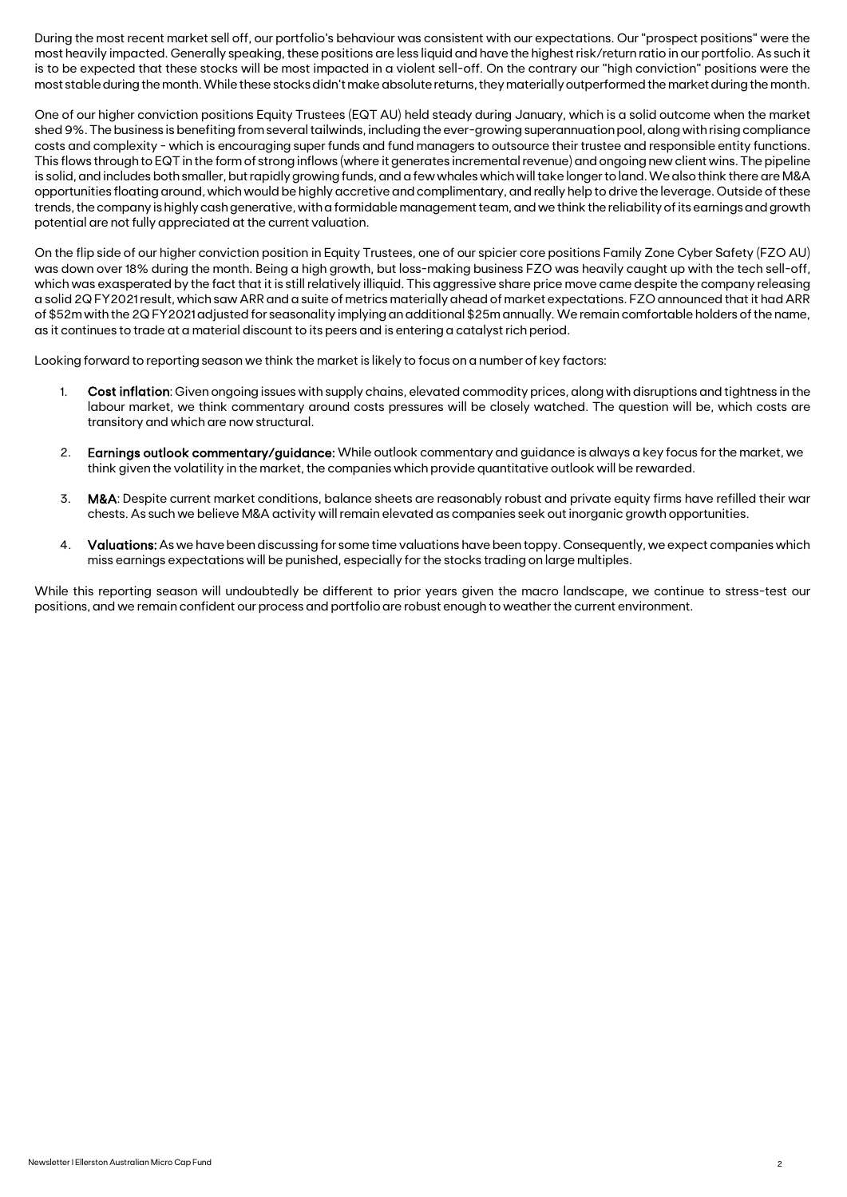During the most recent market sell off, our portfolio's behaviour was consistent with our expectations. Our "prospect positions" were the most heavily impacted. Generally speaking, these positions are less liquid and have the highest risk/return ratio in our portfolio. As such it is to be expected that these stocks will be most impacted in a violent sell-off. On the contrary our "high conviction" positions were the most stable during the month. While these stocks didn't make absolute returns, they materially outperformed the market during the month.

One of our higher conviction positions Equity Trustees (EQT AU) held steady during January, which is a solid outcome when the market shed 9%. The business is benefiting from several tailwinds, including the ever-growing superannuation pool, along with rising compliance costs and complexity - which is encouraging super funds and fund managers to outsource their trustee and responsible entity functions. This flows through to EQT in the form of strong inflows (where it generates incremental revenue) and ongoing new client wins. The pipeline is solid, and includes both smaller, but rapidly growing funds, and a few whales which will take longer to land. We also think there are M&A opportunities floating around, which would be highly accretive and complimentary, and really help to drive the leverage. Outside of these trends, the company is highly cash generative, with a formidable management team, and we think the reliability of its earnings and growth potential are not fully appreciated at the current valuation.

On the flip side of our higher conviction position in Equity Trustees, one of our spicier core positions Family Zone Cyber Safety (FZO AU) was down over 18% during the month. Being a high growth, but loss-making business FZO was heavily caught up with the tech sell-off, which was exasperated by the fact that it is still relatively illiquid. This aggressive share price move came despite the company releasing a solid 2Q FY2021 result, which saw ARR and a suite of metrics materially ahead of market expectations. FZO announced that it had ARR of \$52m with the 2Q FY2021 adjusted for seasonality implying an additional \$25m annually. We remain comfortable holders of the name, as it continues to trade at a material discount to its peers and is entering a catalyst rich period.

Looking forward to reporting season we think the market is likely to focus on a number of key factors:

- 1. Cost inflation: Given ongoing issues with supply chains, elevated commodity prices, along with disruptions and tightness in the labour market, we think commentary around costs pressures will be closely watched. The question will be, which costs are transitory and which are now structural.
- 2. Earnings outlook commentary/guidance: While outlook commentary and guidance is always a key focus for the market, we think given the volatility in the market, the companies which provide quantitative outlook will be rewarded.
- 3. M&A: Despite current market conditions, balance sheets are reasonably robust and private equity firms have refilled their war chests. As such we believe M&A activity will remain elevated as companies seek out inorganic growth opportunities.
- 4. Valuations: As we have been discussing for some time valuations have been toppy. Consequently, we expect companies which miss earnings expectations will be punished, especially for the stocks trading on large multiples.

While this reporting season will undoubtedly be different to prior years given the macro landscape, we continue to stress-test our positions, and we remain confident our process and portfolio are robust enough to weather the current environment.